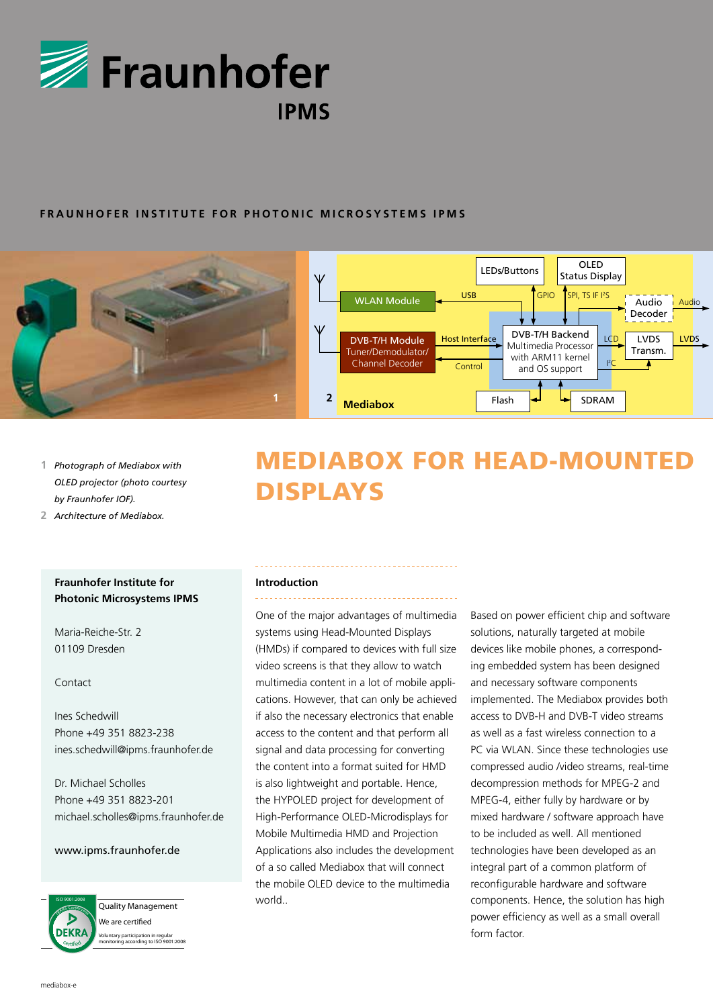

### **FRAUNHOFER INSTITUTE FOR PHOTONIC MICROSYSTEMS IPMS**



- **1** *Photograph of Mediabox with OLED projector (photo courtesy by Fraunhofer IOF).*
- **2** *Architecture of Mediabox.*

## **Fraunhofer Institute for Photonic Microsystems IPMS**

Maria-Reiche-Str. 2 01109 Dresden

### Contact

Ines Schedwill Phone +49 351 8823-238 ines.schedwill@ipms.fraunhofer.de

Dr. Michael Scholles Phone +49 351 8823-201 michael.scholles@ipms.fraunhofer.de

### www.ipms.fraunhofer.de



Quality Management We are certified Voluntary participation in regular monitoring according to ISO 9001:2008

# MEDIABOX FOR HEAD-MOUNTED DISPLAYS

### **Introduction**

One of the major advantages of multimedia systems using Head-Mounted Displays (HMDs) if compared to devices with full size video screens is that they allow to watch multimedia content in a lot of mobile applications. However, that can only be achieved if also the necessary electronics that enable access to the content and that perform all signal and data processing for converting the content into a format suited for HMD is also lightweight and portable. Hence, the HYPOLED project for development of High-Performance OLED-Microdisplays for Mobile Multimedia HMD and Projection Applications also includes the development of a so called Mediabox that will connect the mobile OLED device to the multimedia world..

Based on power efficient chip and software solutions, naturally targeted at mobile devices like mobile phones, a corresponding embedded system has been designed and necessary software components implemented. The Mediabox provides both access to DVB-H and DVB-T video streams as well as a fast wireless connection to a PC via WLAN. Since these technologies use compressed audio /video streams, real-time decompression methods for MPEG-2 and MPEG-4, either fully by hardware or by mixed hardware / software approach have to be included as well. All mentioned technologies have been developed as an integral part of a common platform of reconfigurable hardware and software components. Hence, the solution has high power efficiency as well as a small overall form factor.